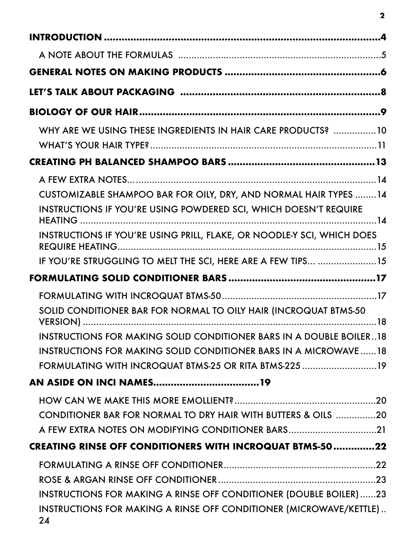| WHY ARE WE USING THESE INGREDIENTS IN HAIR CARE PRODUCTS? 10             |
|--------------------------------------------------------------------------|
|                                                                          |
|                                                                          |
| CUSTOMIZABLE SHAMPOO BAR FOR OILY, DRY, AND NORMAL HAIR TYPES 14         |
| <b>INSTRUCTIONS IF YOU'RE USING POWDERED SCI, WHICH DOESN'T REQUIRE</b>  |
| INSTRUCTIONS IF YOU'RE USING PRILL, FLAKE, OR NOODLE-Y SCI, WHICH DOES   |
| IF YOU'RE STRUGGLING TO MELT THE SCI, HERE ARE A FEW TIPS 15             |
|                                                                          |
|                                                                          |
| SOLID CONDITIONER BAR FOR NORMAL TO OILY HAIR (INCROQUAT BTMS-50)        |
| INSTRUCTIONS FOR MAKING SOLID CONDITIONER BARS IN A DOUBLE BOILER18      |
| INSTRUCTIONS FOR MAKING SOLID CONDITIONER BARS IN A MICROWAVE  18        |
| FORMULATING WITH INCROQUAT BTMS-25 OR RITA BTMS-225 19                   |
|                                                                          |
|                                                                          |
| CONDITIONER BAR FOR NORMAL TO DRY HAIR WITH BUTTERS & OILS 20            |
| A FEW EXTRA NOTES ON MODIFYING CONDITIONER BARS21                        |
| <b>CREATING RINSE OFF CONDITIONERS WITH INCROQUAT BTMS-5022</b>          |
|                                                                          |
|                                                                          |
| INSTRUCTIONS FOR MAKING A RINSE OFF CONDITIONER (DOUBLE BOILER)23        |
| INSTRUCTIONS FOR MAKING A RINSE OFF CONDITIONER (MICROWAVE/KETTLE)<br>24 |

**2**